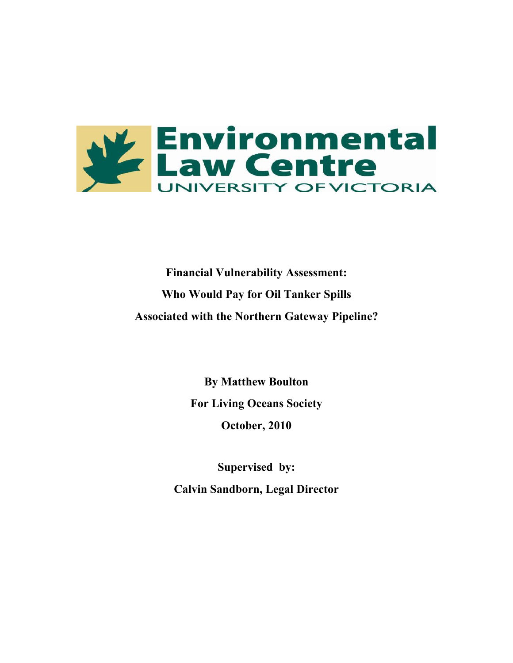

**Financial Vulnerability Assessment: Who Would Pay for Oil Tanker Spills Associated with the Northern Gateway Pipeline?**

> **By Matthew Boulton For Living Oceans Society October, 2010**

**Supervised by: Calvin Sandborn, Legal Director**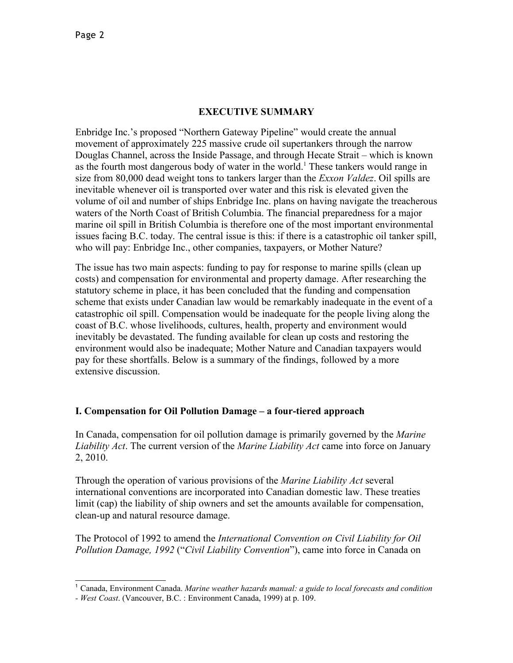#### **EXECUTIVE SUMMARY**

Enbridge Inc.'s proposed "Northern Gateway Pipeline" would create the annual movement of approximately 225 massive crude oil supertankers through the narrow Douglas Channel, across the Inside Passage, and through Hecate Strait – which is known as the fourth most dangerous body of water in the world.<sup>[1](#page-1-0)</sup> These tankers would range in size from 80,000 dead weight tons to tankers larger than the *Exxon Valdez*. Oil spills are inevitable whenever oil is transported over water and this risk is elevated given the volume of oil and number of ships Enbridge Inc. plans on having navigate the treacherous waters of the North Coast of British Columbia. The financial preparedness for a major marine oil spill in British Columbia is therefore one of the most important environmental issues facing B.C. today. The central issue is this: if there is a catastrophic oil tanker spill, who will pay: Enbridge Inc., other companies, taxpayers, or Mother Nature?

The issue has two main aspects: funding to pay for response to marine spills (clean up costs) and compensation for environmental and property damage. After researching the statutory scheme in place, it has been concluded that the funding and compensation scheme that exists under Canadian law would be remarkably inadequate in the event of a catastrophic oil spill. Compensation would be inadequate for the people living along the coast of B.C. whose livelihoods, cultures, health, property and environment would inevitably be devastated. The funding available for clean up costs and restoring the environment would also be inadequate; Mother Nature and Canadian taxpayers would pay for these shortfalls. Below is a summary of the findings, followed by a more extensive discussion.

## **I. Compensation for Oil Pollution Damage – a four-tiered approach**

In Canada, compensation for oil pollution damage is primarily governed by the *Marine Liability Act*. The current version of the *Marine Liability Act* came into force on January 2, 2010.

Through the operation of various provisions of the *Marine Liability Act* several international conventions are incorporated into Canadian domestic law. These treaties limit (cap) the liability of ship owners and set the amounts available for compensation, clean-up and natural resource damage.

The Protocol of 1992 to amend the *International Convention on Civil Liability for Oil Pollution Damage, 1992* ("*Civil Liability Convention*"), came into force in Canada on

<span id="page-1-0"></span><sup>1</sup> Canada, Environment Canada. *Marine weather hazards manual: a guide to local forecasts and condition*

*<sup>-</sup> West Coast*. (Vancouver, B.C. : Environment Canada, 1999) at p. 109.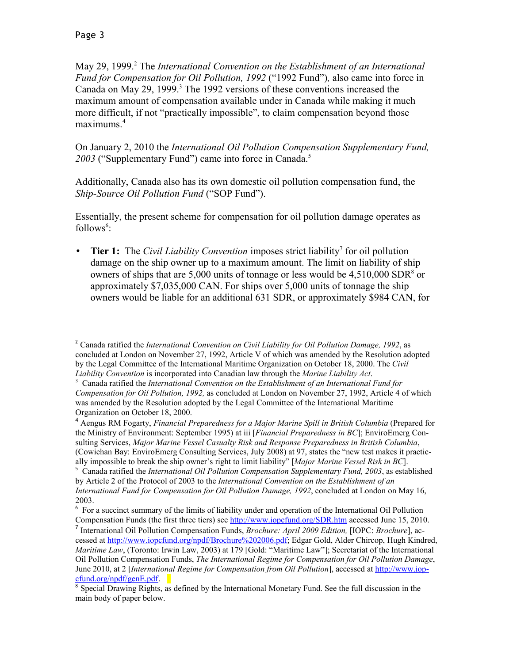May [2](#page-2-0)9, 1999.<sup>2</sup> The *International Convention on the Establishment of an International Fund for Compensation for Oil Pollution, 1992* ("1992 Fund")*,* also came into force in Canada on May 29, 1999.<sup>[3](#page-2-1)</sup> The 1992 versions of these conventions increased the maximum amount of compensation available under in Canada while making it much more difficult, if not "practically impossible", to claim compensation beyond those maximums.<sup>[4](#page-2-2)</sup>

On January 2, 2010 the *International Oil Pollution Compensation Supplementary Fund, 2003* ("Supplementary Fund") came into force in Canada.[5](#page-2-3)

Additionally, Canada also has its own domestic oil pollution compensation fund, the *Ship-Source Oil Pollution Fund* ("SOP Fund").

Essentially, the present scheme for compensation for oil pollution damage operates as follows<sup>[6](#page-2-4)</sup>:

• Tier 1: The *Civil Liability Convention* imposes strict liability<sup>[7](#page-2-5)</sup> for oil pollution damage on the ship owner up to a maximum amount. The limit on liability of ship owners of ships that are  $5,000$  units of tonnage or less would be  $4,510,000$  SDR<sup>[8](#page-2-6)</sup> or approximately \$7,035,000 CAN. For ships over 5,000 units of tonnage the ship owners would be liable for an additional 631 SDR, or approximately \$984 CAN, for

<span id="page-2-0"></span><sup>2</sup> Canada ratified the *International Convention on Civil Liability for Oil Pollution Damage, 1992*, as concluded at London on November 27, 1992, Article V of which was amended by the Resolution adopted by the Legal Committee of the International Maritime Organization on October 18, 2000. The *Civil Liability Convention* is incorporated into Canadian law through the *Marine Liability Act*.

<span id="page-2-1"></span><sup>3</sup> Canada ratified the *International Convention on the Establishment of an International Fund for Compensation for Oil Pollution, 1992,* as concluded at London on November 27, 1992, Article 4 of which was amended by the Resolution adopted by the Legal Committee of the International Maritime Organization on October 18, 2000.

<span id="page-2-2"></span><sup>4</sup> Aengus RM Fogarty, *Financial Preparedness for a Major Marine Spill in British Columbia* (Prepared for the Ministry of Environment: September 1995) at iii [*Financial Preparedness in BC*]; EnviroEmerg Consulting Services, *Major Marine Vessel Casualty Risk and Response Preparedness in British Columbia*, (Cowichan Bay: EnviroEmerg Consulting Services, July 2008) at 97, states the "new test makes it practically impossible to break the ship owner's right to limit liability" [*Major Marine Vessel Risk in BC*].

<span id="page-2-3"></span><sup>5</sup> Canada ratified the *International Oil Pollution Compensation Supplementary Fund, 2003*, as established by Article 2 of the Protocol of 2003 to the *International Convention on the Establishment of an International Fund for Compensation for Oil Pollution Damage, 1992*, concluded at London on May 16, 2003.

<span id="page-2-4"></span><sup>&</sup>lt;sup>6</sup> For a succinct summary of the limits of liability under and operation of the International Oil Pollution Compensation Funds (the first three tiers) see<http://www.iopcfund.org/SDR.htm>accessed June 15, 2010.

<span id="page-2-5"></span><sup>7</sup> International Oil Pollution Compensation Funds, *Brochure: April 2009 Edition,* [IOPC: *Brochure*], accessed at [http://www.iopcfund.org/npdf/Brochure%202006.pdf;](http://www.iopcfund.org/npdf/Brochure%202006.pdf) Edgar Gold, Alder Chircop, Hugh Kindred, *Maritime Law*, (Toronto: Irwin Law, 2003) at 179 [Gold: "Maritime Law"]; Secretariat of the International Oil Pollution Compensation Funds, *The International Regime for Compensation for Oil Pollution Damage*, June 2010, at 2 [*International Regime for Compensation from Oil Pollution*], accessed at [http://www.iop](http://www.iopcfund.org/npdf/genE.pdf)[cfund.org/npdf/genE.pdf.](http://www.iopcfund.org/npdf/genE.pdf)

<span id="page-2-6"></span><sup>&</sup>lt;sup>8</sup> Special Drawing Rights, as defined by the International Monetary Fund. See the full discussion in the main body of paper below.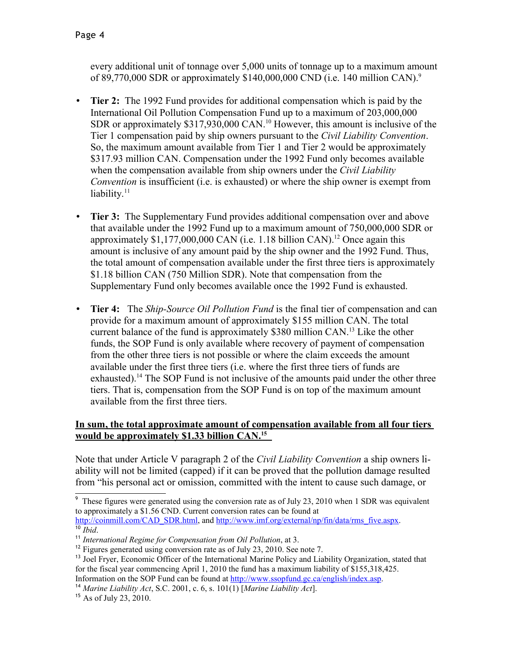every additional unit of tonnage over 5,000 units of tonnage up to a maximum amount of 8[9](#page-3-0),770,000 SDR or approximately  $$140,000,000$  CND (i.e. 140 million CAN).<sup>9</sup>

- **Tier 2:** The 1992 Fund provides for additional compensation which is paid by the International Oil Pollution Compensation Fund up to a maximum of 203,000,000 SDR or approximately \$317,930,000 CAN.<sup>[10](#page-3-1)</sup> However, this amount is inclusive of the Tier 1 compensation paid by ship owners pursuant to the *Civil Liability Convention*. So, the maximum amount available from Tier 1 and Tier 2 would be approximately \$317.93 million CAN. Compensation under the 1992 Fund only becomes available when the compensation available from ship owners under the *Civil Liability Convention* is insufficient (i.e. is exhausted) or where the ship owner is exempt from liability. $11$
- **Tier 3:** The Supplementary Fund provides additional compensation over and above that available under the 1992 Fund up to a maximum amount of 750,000,000 SDR or approximately  $$1,177,000,000$  CAN (i.e. 1.18 billion CAN).<sup>[12](#page-3-3)</sup> Once again this amount is inclusive of any amount paid by the ship owner and the 1992 Fund. Thus, the total amount of compensation available under the first three tiers is approximately \$1.18 billion CAN (750 Million SDR). Note that compensation from the Supplementary Fund only becomes available once the 1992 Fund is exhausted.
- **Tier 4:** The *Ship-Source Oil Pollution Fund* is the final tier of compensation and can provide for a maximum amount of approximately \$155 million CAN. The total current balance of the fund is approximately \$380 million CAN.[13](#page-3-4) Like the other funds, the SOP Fund is only available where recovery of payment of compensation from the other three tiers is not possible or where the claim exceeds the amount available under the first three tiers (i.e. where the first three tiers of funds are exhausted).<sup>[14](#page-3-5)</sup> The SOP Fund is not inclusive of the amounts paid under the other three tiers. That is, compensation from the SOP Fund is on top of the maximum amount available from the first three tiers.

### **In sum, the total approximate amount of compensation available from all four tiers would be approximately \$1.33 billion CAN.[15](#page-3-6)**

Note that under Article V paragraph 2 of the *Civil Liability Convention* a ship owners liability will not be limited (capped) if it can be proved that the pollution damage resulted from "his personal act or omission, committed with the intent to cause such damage, or

<span id="page-3-5"></span><sup>14</sup> *Marine Liability Act*, S.C. 2001, c. 6, s. 101(1) [*Marine Liability Act*].

<span id="page-3-0"></span><sup>&</sup>lt;sup>9</sup> These figures were generated using the conversion rate as of July 23, 2010 when 1 SDR was equivalent to approximately a \$1.56 CND. Current conversion rates can be found at [http://coinmill.com/CAD\\_SDR.html,](http://coinmill.com/CAD_SDR.html) and [http://www.imf.org/external/np/fin/data/rms\\_five.aspx.](http://www.imf.org/external/np/fin/data/rms_five.aspx)

<span id="page-3-1"></span> $\overline{^{10}I}$ *bid.* 

<span id="page-3-2"></span><sup>11</sup> *International Regime for Compensation from Oil Pollution*, at 3.

<span id="page-3-3"></span><sup>&</sup>lt;sup>12</sup> Figures generated using conversion rate as of July 23, 2010. See note 7.

<span id="page-3-4"></span><sup>&</sup>lt;sup>13</sup> Joel Fryer, Economic Officer of the International Marine Policy and Liability Organization, stated that for the fiscal year commencing April 1, 2010 the fund has a maximum liability of \$155,318,425.

Information on the SOP Fund can be found at [http://www.ssopfund.gc.ca/english/index.asp.](http://www.ssopfund.gc.ca/english/index.asp)

<span id="page-3-6"></span><sup>15</sup> As of July 23, 2010.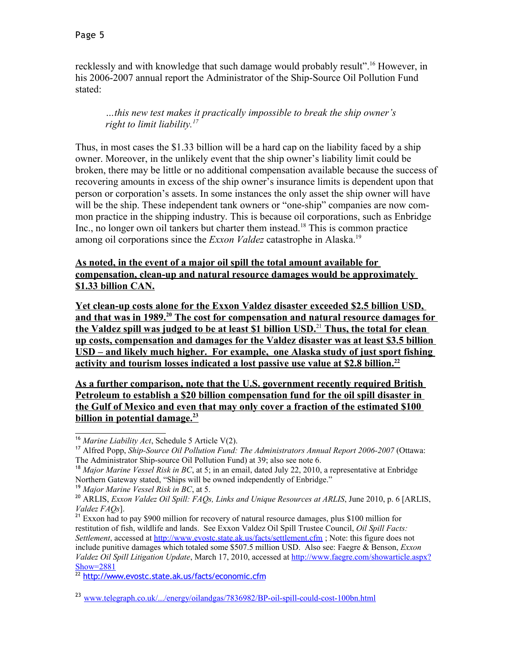recklessly and with knowledge that such damage would probably result".[16](#page-4-0) However, in his 2006-2007 annual report the Administrator of the Ship-Source Oil Pollution Fund stated:

*…this new test makes it practically impossible to break the ship owner's right to limit liability.[17](#page-4-1)*

Thus, in most cases the \$1.33 billion will be a hard cap on the liability faced by a ship owner. Moreover, in the unlikely event that the ship owner's liability limit could be broken, there may be little or no additional compensation available because the success of recovering amounts in excess of the ship owner's insurance limits is dependent upon that person or corporation's assets. In some instances the only asset the ship owner will have will be the ship. These independent tank owners or "one-ship" companies are now common practice in the shipping industry. This is because oil corporations, such as Enbridge Inc., no longer own oil tankers but charter them instead.<sup>[18](#page-4-2)</sup> This is common practice among oil corporations since the *Exxon Valdez* catastrophe in Alaska.[19](#page-4-3)

#### **As noted, in the event of a major oil spill the total amount available for compensation, clean-up and natural resource damages would be approximately \$1.33 billion CAN.**

Yet clean-up costs alone for the Exxon Valdez disaster exceeded \$2.5 billion USD,  **and that was in 1989.<sup>20</sup> The cost for compensation and natural resource damages for the Valdez spill was judged to be at least \$1 billion USD.**<sup>21</sup> **Thus, the total for clean up costs, compensation and damages for the Valdez disaster was at least \$3 .5 billion USD – and likely much higher. For example, one Alaska study of just sport fishing activity and tourism losses indicated a lost passive use value at \$2.8 billion.[22](#page-4-6)** 

 **As a further comparison, note that the U.S. government recently required British Petroleum to establish a \$20 billion compensation fund for the oil spill disaster in the Gulf of Mexico and even that may only cover a fraction of the estimated \$100 billion in potential damage.[23](#page-4-7)** 

<span id="page-4-6"></span><sup>22</sup> <http://www.evostc.state.ak.us/facts/economic.cfm>

<span id="page-4-0"></span><sup>16</sup> *Marine Liability Act*, Schedule 5 Article V(2).

<span id="page-4-1"></span><sup>17</sup> Alfred Popp, *Ship-Source Oil Pollution Fund: The Administrators Annual Report 2006-2007* (Ottawa: The Administrator Ship-source Oil Pollution Fund) at 39; also see note 6.

<span id="page-4-2"></span><sup>&</sup>lt;sup>18</sup> *Major Marine Vessel Risk in BC*, at 5; in an email, dated July 22, 2010, a representative at Enbridge Northern Gateway stated, "Ships will be owned independently of Enbridge."

<span id="page-4-3"></span><sup>19</sup> *Major Marine Vessel Risk in BC*, at 5.

<span id="page-4-4"></span><sup>20</sup> ARLIS, *Exxon Valdez Oil Spill: FAQs, Links and Unique Resources at ARLIS*, June 2010, p. 6 [ARLIS, *Valdez FAQs*].

<span id="page-4-5"></span><sup>&</sup>lt;sup>21</sup> Exxon had to pay \$900 million for recovery of natural resource damages, plus \$100 million for restitution of fish, wildlife and lands. See Exxon Valdez Oil Spill Trustee Council, *Oil Spill Facts: Settlement*, accessed at<http://www.evostc.state.ak.us/facts/settlement.cfm> ; Note: this figure does not include punitive damages which totaled some \$507.5 million USD. Also see: Faegre & Benson, *Exxon Valdez Oil Spill Litigation Update*, March 17, 2010, accessed at [http://www.faegre.com/showarticle.aspx?](http://www.faegre.com/showarticle.aspx?Show=2881) [Show=2881](http://www.faegre.com/showarticle.aspx?Show=2881)

<span id="page-4-7"></span><sup>&</sup>lt;sup>23</sup> [www.telegraph.co.uk/.../energy/oilandgas/7836982/BP-oil-spill-could-cost-100bn.html](http://www.telegraph.co.uk/.../energy/oilandgas/7836982/BP-oil-spill-could-cost-100bn.html)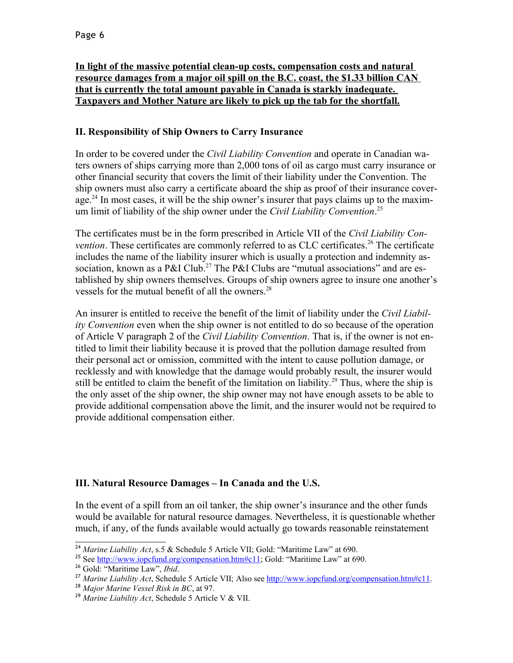### **In light of the massive potential clean-up costs, compensation costs and natural resource damages from a major oil spill on the B.C. coast, the \$1.33 billion CAN that is currently the total amount payable in Canada is starkly inadequate. Taxpayers and Mother Nature are likely to pick up the tab for the shortfall.**

## **II. Responsibility of Ship Owners to Carry Insurance**

In order to be covered under the *Civil Liability Convention* and operate in Canadian waters owners of ships carrying more than 2,000 tons of oil as cargo must carry insurance or other financial security that covers the limit of their liability under the Convention. The ship owners must also carry a certificate aboard the ship as proof of their insurance cover-age.<sup>[24](#page-5-0)</sup> In most cases, it will be the ship owner's insurer that pays claims up to the maximum limit of liability of the ship owner under the *Civil Liability Convention*. [25](#page-5-1)

The certificates must be in the form prescribed in Article VII of the *Civil Liability Convention*. These certificates are commonly referred to as CLC certificates.<sup>[26](#page-5-2)</sup> The certificate includes the name of the liability insurer which is usually a protection and indemnity as-sociation, known as a P&I Club.<sup>[27](#page-5-3)</sup> The P&I Clubs are "mutual associations" and are established by ship owners themselves. Groups of ship owners agree to insure one another's vessels for the mutual benefit of all the owners.<sup>[28](#page-5-4)</sup>

An insurer is entitled to receive the benefit of the limit of liability under the *Civil Liability Convention* even when the ship owner is not entitled to do so because of the operation of Article V paragraph 2 of the *Civil Liability Convention*. That is, if the owner is not entitled to limit their liability because it is proved that the pollution damage resulted from their personal act or omission, committed with the intent to cause pollution damage, or recklessly and with knowledge that the damage would probably result, the insurer would still be entitled to claim the benefit of the limitation on liability.<sup>[29](#page-5-5)</sup> Thus, where the ship is the only asset of the ship owner, the ship owner may not have enough assets to be able to provide additional compensation above the limit, and the insurer would not be required to provide additional compensation either.

# **III. Natural Resource Damages – In Canada and the U.S.**

In the event of a spill from an oil tanker, the ship owner's insurance and the other funds would be available for natural resource damages. Nevertheless, it is questionable whether much, if any, of the funds available would actually go towards reasonable reinstatement

<span id="page-5-0"></span><sup>&</sup>lt;sup>24</sup> Marine Liability Act, s.5 & Schedule 5 Article VII; Gold: "Maritime Law" at 690.

<span id="page-5-1"></span><sup>&</sup>lt;sup>25</sup> See [http://www.iopcfund.org/compensation.htm#c11;](http://www.iopcfund.org/compensation.htm#c11) Gold: "Maritime Law" at 690.

<span id="page-5-2"></span><sup>26</sup> Gold: "Maritime Law", *Ibid*.

<span id="page-5-3"></span><sup>27</sup> *Marine Liability Act*, Schedule 5 Article VII; Also see [http://www.iopcfund.org/compensation.htm#c11.](http://www.iopcfund.org/compensation.htm#c11)

<span id="page-5-4"></span><sup>28</sup> *Major Marine Vessel Risk in BC*, at 97.

<span id="page-5-5"></span><sup>29</sup> *Marine Liability Act*, Schedule 5 Article V & VII.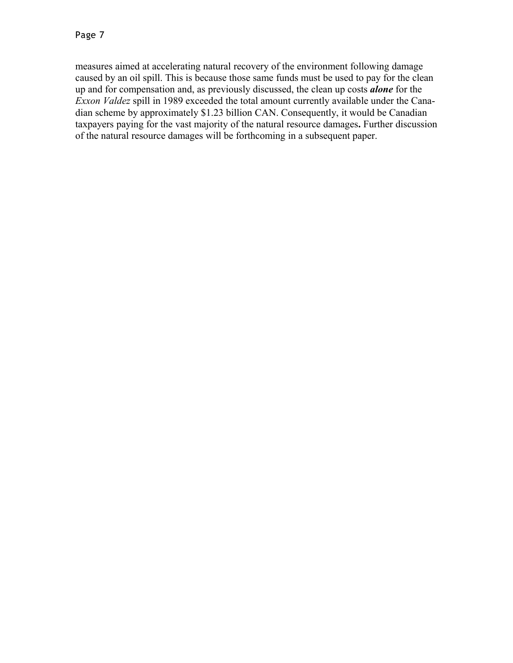measures aimed at accelerating natural recovery of the environment following damage caused by an oil spill. This is because those same funds must be used to pay for the clean up and for compensation and, as previously discussed, the clean up costs *alone* for the *Exxon Valdez* spill in 1989 exceeded the total amount currently available under the Canadian scheme by approximately \$1.23 billion CAN. Consequently, it would be Canadian taxpayers paying for the vast majority of the natural resource damages**.** Further discussion of the natural resource damages will be forthcoming in a subsequent paper.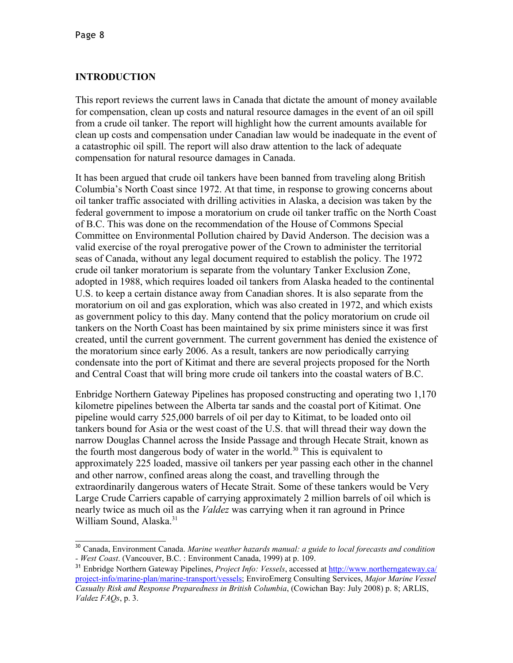## **INTRODUCTION**

This report reviews the current laws in Canada that dictate the amount of money available for compensation, clean up costs and natural resource damages in the event of an oil spill from a crude oil tanker. The report will highlight how the current amounts available for clean up costs and compensation under Canadian law would be inadequate in the event of a catastrophic oil spill. The report will also draw attention to the lack of adequate compensation for natural resource damages in Canada.

It has been argued that crude oil tankers have been banned from traveling along British Columbia's North Coast since 1972. At that time, in response to growing concerns about oil tanker traffic associated with drilling activities in Alaska, a decision was taken by the federal government to impose a moratorium on crude oil tanker traffic on the North Coast of B.C. This was done on the recommendation of the House of Commons Special Committee on Environmental Pollution chaired by David Anderson. The decision was a valid exercise of the royal prerogative power of the Crown to administer the territorial seas of Canada, without any legal document required to establish the policy. The 1972 crude oil tanker moratorium is separate from the voluntary Tanker Exclusion Zone, adopted in 1988, which requires loaded oil tankers from Alaska headed to the continental U.S. to keep a certain distance away from Canadian shores. It is also separate from the moratorium on oil and gas exploration, which was also created in 1972, and which exists as government policy to this day. Many contend that the policy moratorium on crude oil tankers on the North Coast has been maintained by six prime ministers since it was first created, until the current government. The current government has denied the existence of the moratorium since early 2006. As a result, tankers are now periodically carrying condensate into the port of Kitimat and there are several projects proposed for the North and Central Coast that will bring more crude oil tankers into the coastal waters of B.C.

Enbridge Northern Gateway Pipelines has proposed constructing and operating two 1,170 kilometre pipelines between the Alberta tar sands and the coastal port of Kitimat. One pipeline would carry 525,000 barrels of oil per day to Kitimat, to be loaded onto oil tankers bound for Asia or the west coast of the U.S. that will thread their way down the narrow Douglas Channel across the Inside Passage and through Hecate Strait, known as the fourth most dangerous body of water in the world.<sup>[30](#page-7-0)</sup> This is equivalent to approximately 225 loaded, massive oil tankers per year passing each other in the channel and other narrow, confined areas along the coast, and travelling through the extraordinarily dangerous waters of Hecate Strait. Some of these tankers would be Very Large Crude Carriers capable of carrying approximately 2 million barrels of oil which is nearly twice as much oil as the *Valdez* was carrying when it ran aground in Prince William Sound, Alaska.<sup>[31](#page-7-1)</sup>

<span id="page-7-0"></span><sup>30</sup> Canada, Environment Canada. *Marine weather hazards manual: a guide to local forecasts and condition - West Coast*. (Vancouver, B.C. : Environment Canada, 1999) at p. 109.

<span id="page-7-1"></span><sup>31</sup> Enbridge Northern Gateway Pipelines, *Project Info: Vessels*, accessed at [http://www.northerngateway.ca/](http://www.northerngateway.ca/project-info/marine-plan/marine-transport/vessels) [project-info/marine-plan/marine-transport/vessels;](http://www.northerngateway.ca/project-info/marine-plan/marine-transport/vessels) EnviroEmerg Consulting Services, *Major Marine Vessel Casualty Risk and Response Preparedness in British Columbia*, (Cowichan Bay: July 2008) p. 8; ARLIS, *Valdez FAQs*, p. 3.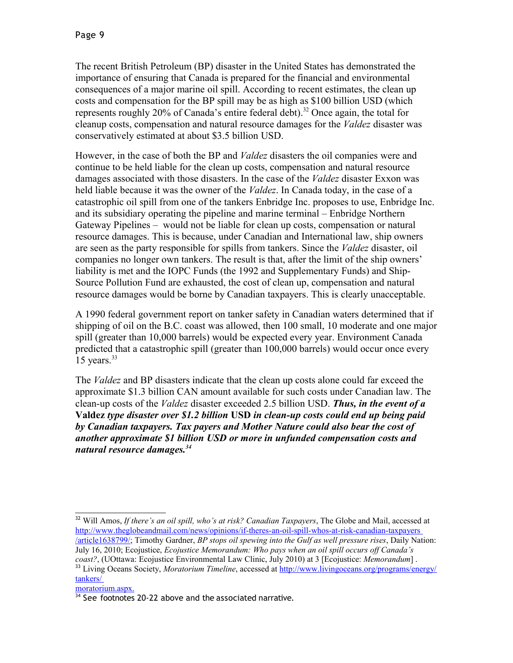The recent British Petroleum (BP) disaster in the United States has demonstrated the importance of ensuring that Canada is prepared for the financial and environmental consequences of a major marine oil spill. According to recent estimates, the clean up costs and compensation for the BP spill may be as high as \$100 billion USD (which represents roughly 20% of Canada's entire federal debt). [32](#page-8-0) Once again, the total for cleanup costs, compensation and natural resource damages for the *Valdez* disaster was conservatively estimated at about \$3.5 billion USD.

However, in the case of both the BP and *Valdez* disasters the oil companies were and continue to be held liable for the clean up costs, compensation and natural resource damages associated with those disasters. In the case of the *Valdez* disaster Exxon was held liable because it was the owner of the *Valdez*. In Canada today, in the case of a catastrophic oil spill from one of the tankers Enbridge Inc. proposes to use, Enbridge Inc. and its subsidiary operating the pipeline and marine terminal – Enbridge Northern Gateway Pipelines – would not be liable for clean up costs, compensation or natural resource damages. This is because, under Canadian and International law, ship owners are seen as the party responsible for spills from tankers. Since the *Valdez* disaster, oil companies no longer own tankers. The result is that, after the limit of the ship owners' liability is met and the IOPC Funds (the 1992 and Supplementary Funds) and Ship-Source Pollution Fund are exhausted, the cost of clean up, compensation and natural resource damages would be borne by Canadian taxpayers. This is clearly unacceptable.

A 1990 federal government report on tanker safety in Canadian waters determined that if shipping of oil on the B.C. coast was allowed, then 100 small, 10 moderate and one major spill (greater than 10,000 barrels) would be expected every year. Environment Canada predicted that a catastrophic spill (greater than 100,000 barrels) would occur once every 15 years. $33$ 

The *Valdez* and BP disasters indicate that the clean up costs alone could far exceed the approximate \$1.3 billion CAN amount available for such costs under Canadian law. The clean-up costs of the *Valdez* disaster exceeded 2.5 billion USD. *Thus, in the event of a* **Valdez** *type disaster over \$1.2 billion* **USD** *in clean-up costs could end up being paid by Canadian taxpayers. Tax payers and Mother Nature could also bear the cost of another approximate \$1 billion USD or more in unfunded compensation costs and natural resource damages.[34](#page-8-2)* 

[/article1638799/;](http://www.theglobeandmail.com/news/opinions/if-theres-an-oil-spill-whos-at-risk-canadian-taxpayers/article1638799/) Timothy Gardner, *BP stops oil spewing into the Gulf as well pressure rises*, Daily Nation: July 16, 2010; Ecojustice, *Ecojustice Memorandum: Who pays when an oil spill occurs off Canada's coast?*, (UOttawa: Ecojustice Environmental Law Clinic, July 2010) at 3 [Ecojustice: *Memorandum*] .

moratorium.aspx.

<span id="page-8-0"></span><sup>32</sup> Will Amos, *If there's an oil spill, who's at risk? Canadian Taxpayers*, The Globe and Mail, accessed at [http://www.theglobeandmail.com/news/opinions/if-theres-an-oil-spill-whos-at-risk-canadian-taxpayers](http://www.theglobeandmail.com/news/opinions/if-theres-an-oil-spill-whos-at-risk-canadian-taxpayers/article1638799/)

<span id="page-8-1"></span><sup>&</sup>lt;sup>33</sup> Living Oceans Society, *Moratorium Timeline*, accessed at http://www.livingoceans.org/programs/energy/ tankers/

<span id="page-8-2"></span> $34$  See footnotes 20-22 above and the associated narrative.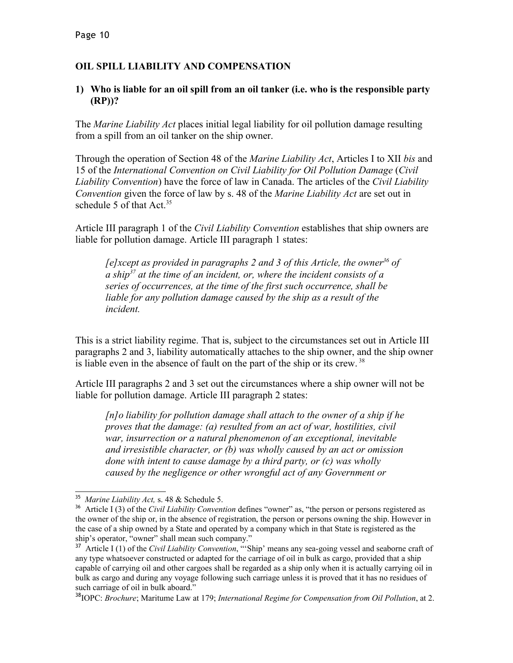## **OIL SPILL LIABILITY AND COMPENSATION**

#### **1) Who is liable for an oil spill from an oil tanker (i.e. who is the responsible party (RP))?**

The *Marine Liability Act* places initial legal liability for oil pollution damage resulting from a spill from an oil tanker on the ship owner.

Through the operation of Section 48 of the *Marine Liability Act*, Articles I to XII *bis* and 15 of the *International Convention on Civil Liability for Oil Pollution Damage* (*Civil Liability Convention*) have the force of law in Canada. The articles of the *Civil Liability Convention* given the force of law by s. 48 of the *Marine Liability Act* are set out in schedule 5 of that  $Act.^{35}$  $Act.^{35}$  $Act.^{35}$ 

Article III paragraph 1 of the *Civil Liability Convention* establishes that ship owners are liable for pollution damage. Article III paragraph 1 states:

*[e]xcept as provided in paragraphs 2 and 3 of this Article, the owner[36](#page-9-1) of a ship[37](#page-9-2) at the time of an incident, or, where the incident consists of a series of occurrences, at the time of the first such occurrence, shall be liable for any pollution damage caused by the ship as a result of the incident.*

This is a strict liability regime. That is, subject to the circumstances set out in Article III paragraphs 2 and 3, liability automatically attaches to the ship owner, and the ship owner is liable even in the absence of fault on the part of the ship or its crew.<sup>[38](#page-9-3)</sup>

Article III paragraphs 2 and 3 set out the circumstances where a ship owner will not be liable for pollution damage. Article III paragraph 2 states:

*[n]o liability for pollution damage shall attach to the owner of a ship if he proves that the damage: (a) resulted from an act of war, hostilities, civil war, insurrection or a natural phenomenon of an exceptional, inevitable and irresistible character, or (b) was wholly caused by an act or omission done with intent to cause damage by a third party, or (c) was wholly caused by the negligence or other wrongful act of any Government or*

<span id="page-9-0"></span><sup>35</sup> *Marine Liability Act,* s. 48 & Schedule 5.

<span id="page-9-1"></span><sup>36</sup> Article I (3) of the *Civil Liability Convention* defines "owner" as, "the person or persons registered as the owner of the ship or, in the absence of registration, the person or persons owning the ship. However in the case of a ship owned by a State and operated by a company which in that State is registered as the ship's operator, "owner" shall mean such company."

<span id="page-9-2"></span><sup>&</sup>lt;sup>37</sup> Article I (1) of the *Civil Liability Convention*, "'Ship' means any sea-going vessel and seaborne craft of any type whatsoever constructed or adapted for the carriage of oil in bulk as cargo, provided that a ship capable of carrying oil and other cargoes shall be regarded as a ship only when it is actually carrying oil in bulk as cargo and during any voyage following such carriage unless it is proved that it has no residues of such carriage of oil in bulk aboard."

<span id="page-9-3"></span><sup>38</sup>IOPC: *Brochure*; Maritume Law at 179; *International Regime for Compensation from Oil Pollution*, at 2.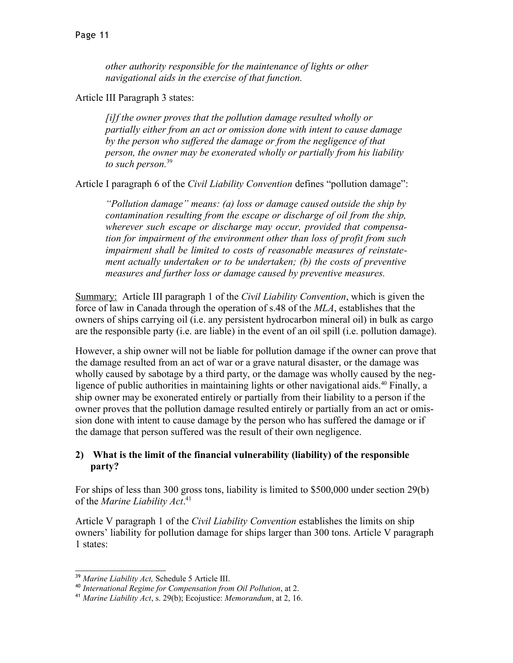*other authority responsible for the maintenance of lights or other navigational aids in the exercise of that function.*

Article III Paragraph 3 states:

*[i]f the owner proves that the pollution damage resulted wholly or partially either from an act or omission done with intent to cause damage by the person who suffered the damage or from the negligence of that person, the owner may be exonerated wholly or partially from his liability to such person.*[39](#page-10-0)

Article I paragraph 6 of the *Civil Liability Convention* defines "pollution damage":

*"Pollution damage" means: (a) loss or damage caused outside the ship by contamination resulting from the escape or discharge of oil from the ship, wherever such escape or discharge may occur, provided that compensation for impairment of the environment other than loss of profit from such impairment shall be limited to costs of reasonable measures of reinstatement actually undertaken or to be undertaken; (b) the costs of preventive measures and further loss or damage caused by preventive measures.*

Summary: Article III paragraph 1 of the *Civil Liability Convention*, which is given the force of law in Canada through the operation of s.48 of the *MLA*, establishes that the owners of ships carrying oil (i.e. any persistent hydrocarbon mineral oil) in bulk as cargo are the responsible party (i.e. are liable) in the event of an oil spill (i.e. pollution damage).

However, a ship owner will not be liable for pollution damage if the owner can prove that the damage resulted from an act of war or a grave natural disaster, or the damage was wholly caused by sabotage by a third party, or the damage was wholly caused by the neg-ligence of public authorities in maintaining lights or other navigational aids.<sup>[40](#page-10-1)</sup> Finally, a ship owner may be exonerated entirely or partially from their liability to a person if the owner proves that the pollution damage resulted entirely or partially from an act or omission done with intent to cause damage by the person who has suffered the damage or if the damage that person suffered was the result of their own negligence.

### **2) What is the limit of the financial vulnerability (liability) of the responsible party?**

For ships of less than 300 gross tons, liability is limited to \$500,000 under section 29(b) of the *Marine Liability Act*. [41](#page-10-2)

Article V paragraph 1 of the *Civil Liability Convention* establishes the limits on ship owners' liability for pollution damage for ships larger than 300 tons. Article V paragraph 1 states:

<span id="page-10-0"></span><sup>39</sup> *Marine Liability Act,* Schedule 5 Article III.

<span id="page-10-1"></span><sup>40</sup> *International Regime for Compensation from Oil Pollution*, at 2.

<span id="page-10-2"></span><sup>41</sup> *Marine Liability Act*, s. 29(b); Ecojustice: *Memorandum*, at 2, 16.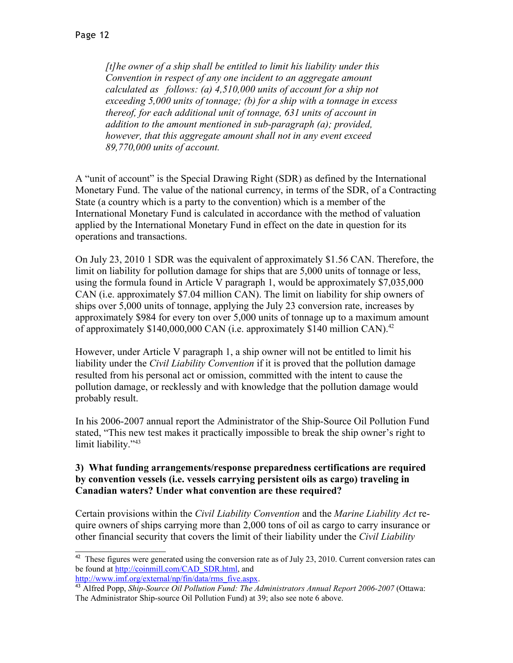*[t]he owner of a ship shall be entitled to limit his liability under this Convention in respect of any one incident to an aggregate amount calculated as follows: (a) 4,510,000 units of account for a ship not exceeding 5,000 units of tonnage; (b) for a ship with a tonnage in excess thereof, for each additional unit of tonnage, 631 units of account in addition to the amount mentioned in sub-paragraph (a); provided, however, that this aggregate amount shall not in any event exceed 89,770,000 units of account.*

A "unit of account" is the Special Drawing Right (SDR) as defined by the International Monetary Fund. The value of the national currency, in terms of the SDR, of a Contracting State (a country which is a party to the convention) which is a member of the International Monetary Fund is calculated in accordance with the method of valuation applied by the International Monetary Fund in effect on the date in question for its operations and transactions.

On July 23, 2010 1 SDR was the equivalent of approximately \$1.56 CAN. Therefore, the limit on liability for pollution damage for ships that are 5,000 units of tonnage or less, using the formula found in Article V paragraph 1, would be approximately \$7,035,000 CAN (i.e. approximately \$7.04 million CAN). The limit on liability for ship owners of ships over 5,000 units of tonnage, applying the July 23 conversion rate, increases by approximately \$984 for every ton over 5,000 units of tonnage up to a maximum amount of approximately \$140,000,000 CAN (i.e. approximately \$140 million CAN).<sup>[42](#page-11-0)</sup>

However, under Article V paragraph 1, a ship owner will not be entitled to limit his liability under the *Civil Liability Convention* if it is proved that the pollution damage resulted from his personal act or omission, committed with the intent to cause the pollution damage, or recklessly and with knowledge that the pollution damage would probably result.

In his 2006-2007 annual report the Administrator of the Ship-Source Oil Pollution Fund stated, "This new test makes it practically impossible to break the ship owner's right to limit liability."<sup>[43](#page-11-1)</sup>

#### **3) What funding arrangements/response preparedness certifications are required by convention vessels (i.e. vessels carrying persistent oils as cargo) traveling in Canadian waters? Under what convention are these required?**

Certain provisions within the *Civil Liability Convention* and the *Marine Liability Act* require owners of ships carrying more than 2,000 tons of oil as cargo to carry insurance or other financial security that covers the limit of their liability under the *Civil Liability*

<span id="page-11-0"></span> $42$  These figures were generated using the conversion rate as of July 23, 2010. Current conversion rates can be found at [http://coinmill.com/CAD\\_SDR.html,](http://coinmill.com/CAD_SDR.html) and [http://www.imf.org/external/np/fin/data/rms\\_five.aspx.](http://www.imf.org/external/np/fin/data/rms_five.aspx)

<span id="page-11-1"></span><sup>&</sup>lt;sup>43</sup> Alfred Popp, *Ship-Source Oil Pollution Fund: The Administrators Annual Report 2006-2007* (Ottawa: The Administrator Ship-source Oil Pollution Fund) at 39; also see note 6 above.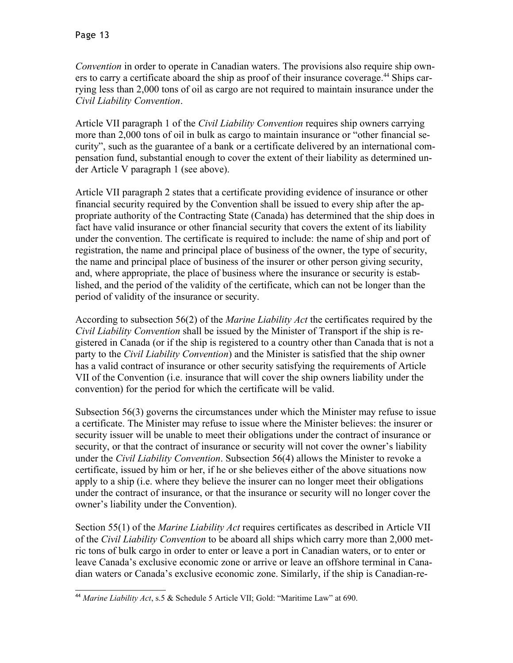*Convention* in order to operate in Canadian waters. The provisions also require ship own-ers to carry a certificate aboard the ship as proof of their insurance coverage.<sup>[44](#page-12-0)</sup> Ships carrying less than 2,000 tons of oil as cargo are not required to maintain insurance under the *Civil Liability Convention*.

Article VII paragraph 1 of the *Civil Liability Convention* requires ship owners carrying more than 2,000 tons of oil in bulk as cargo to maintain insurance or "other financial security", such as the guarantee of a bank or a certificate delivered by an international compensation fund, substantial enough to cover the extent of their liability as determined under Article V paragraph 1 (see above).

Article VII paragraph 2 states that a certificate providing evidence of insurance or other financial security required by the Convention shall be issued to every ship after the appropriate authority of the Contracting State (Canada) has determined that the ship does in fact have valid insurance or other financial security that covers the extent of its liability under the convention. The certificate is required to include: the name of ship and port of registration, the name and principal place of business of the owner, the type of security, the name and principal place of business of the insurer or other person giving security, and, where appropriate, the place of business where the insurance or security is established, and the period of the validity of the certificate, which can not be longer than the period of validity of the insurance or security.

According to subsection 56(2) of the *Marine Liability Act* the certificates required by the *Civil Liability Convention* shall be issued by the Minister of Transport if the ship is registered in Canada (or if the ship is registered to a country other than Canada that is not a party to the *Civil Liability Convention*) and the Minister is satisfied that the ship owner has a valid contract of insurance or other security satisfying the requirements of Article VII of the Convention (i.e. insurance that will cover the ship owners liability under the convention) for the period for which the certificate will be valid.

Subsection 56(3) governs the circumstances under which the Minister may refuse to issue a certificate. The Minister may refuse to issue where the Minister believes: the insurer or security issuer will be unable to meet their obligations under the contract of insurance or security, or that the contract of insurance or security will not cover the owner's liability under the *Civil Liability Convention*. Subsection 56(4) allows the Minister to revoke a certificate, issued by him or her, if he or she believes either of the above situations now apply to a ship (i.e. where they believe the insurer can no longer meet their obligations under the contract of insurance, or that the insurance or security will no longer cover the owner's liability under the Convention).

Section 55(1) of the *Marine Liability Act* requires certificates as described in Article VII of the *Civil Liability Convention* to be aboard all ships which carry more than 2,000 metric tons of bulk cargo in order to enter or leave a port in Canadian waters, or to enter or leave Canada's exclusive economic zone or arrive or leave an offshore terminal in Canadian waters or Canada's exclusive economic zone. Similarly, if the ship is Canadian-re-

<span id="page-12-0"></span><sup>44</sup> *Marine Liability Act*, s.5 & Schedule 5 Article VII; Gold: "Maritime Law" at 690.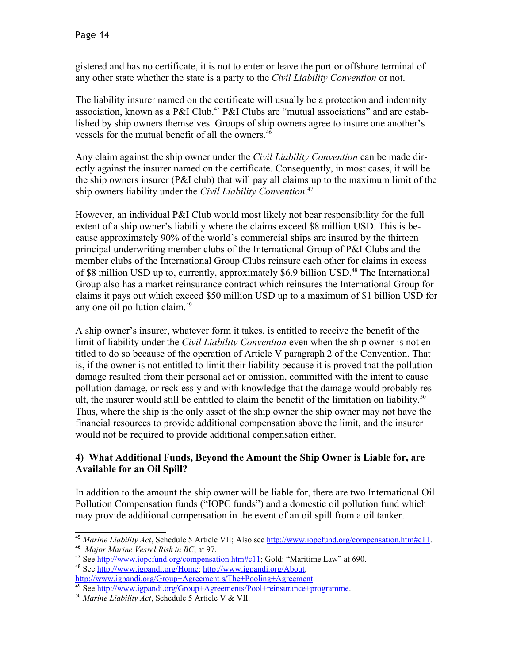gistered and has no certificate, it is not to enter or leave the port or offshore terminal of any other state whether the state is a party to the *Civil Liability Convention* or not.

The liability insurer named on the certificate will usually be a protection and indemnity association, known as a P&I Club.<sup>[45](#page-13-0)</sup> P&I Clubs are "mutual associations" and are established by ship owners themselves. Groups of ship owners agree to insure one another's vessels for the mutual benefit of all the owners.<sup>[46](#page-13-1)</sup>

Any claim against the ship owner under the *Civil Liability Convention* can be made directly against the insurer named on the certificate. Consequently, in most cases, it will be the ship owners insurer (P&I club) that will pay all claims up to the maximum limit of the ship owners liability under the *Civil Liability Convention*. [47](#page-13-2)

However, an individual P&I Club would most likely not bear responsibility for the full extent of a ship owner's liability where the claims exceed \$8 million USD. This is because approximately 90% of the world's commercial ships are insured by the thirteen principal underwriting member clubs of the International Group of P&I Clubs and the member clubs of the International Group Clubs reinsure each other for claims in excess of \$8 million USD up to, currently, approximately \$6.9 billion USD.<sup>[48](#page-13-3)</sup> The International Group also has a market reinsurance contract which reinsures the International Group for claims it pays out which exceed \$50 million USD up to a maximum of \$1 billion USD for any one oil pollution claim.<sup>[49](#page-13-4)</sup>

A ship owner's insurer, whatever form it takes, is entitled to receive the benefit of the limit of liability under the *Civil Liability Convention* even when the ship owner is not entitled to do so because of the operation of Article V paragraph 2 of the Convention. That is, if the owner is not entitled to limit their liability because it is proved that the pollution damage resulted from their personal act or omission, committed with the intent to cause pollution damage, or recklessly and with knowledge that the damage would probably res-ult, the insurer would still be entitled to claim the benefit of the limitation on liability.<sup>[50](#page-13-5)</sup> Thus, where the ship is the only asset of the ship owner the ship owner may not have the financial resources to provide additional compensation above the limit, and the insurer would not be required to provide additional compensation either.

#### **4) What Additional Funds, Beyond the Amount the Ship Owner is Liable for, are Available for an Oil Spill?**

In addition to the amount the ship owner will be liable for, there are two International Oil Pollution Compensation funds ("IOPC funds") and a domestic oil pollution fund which may provide additional compensation in the event of an oil spill from a oil tanker.

- <span id="page-13-3"></span><sup>48</sup> See [http://www.igpandi.org/Home;](http://www.igpandi.org/Home) [http://www.igpandi.org/About;](http://www.igpandi.org/About)
- [http://www.igpandi.org/Group+Agreement s/The+Pooling+Agreement.](http://www.igpandi.org/Group+Agreements/The+Pooling+Agreement)

<span id="page-13-0"></span><sup>45</sup> *Marine Liability Act*, Schedule 5 Article VII; Also see [http://www.iopcfund.org/compensation.htm#c11.](http://www.iopcfund.org/compensation.htm#c11) 46 *Major Marine Vessel Risk in BC*, at 97.

<span id="page-13-2"></span><span id="page-13-1"></span><sup>&</sup>lt;sup>47</sup> See [http://www.iopcfund.org/compensation.htm#c11;](http://www.iopcfund.org/compensation.htm#c11) Gold: "Maritime Law" at 690.

<span id="page-13-4"></span><sup>49</sup> See [http://www.igpandi.org/Group+Agreements/Pool+reinsurance+programme.](http://www.igpandi.org/Group+Agreements/Pool+reinsurance+programme)

<span id="page-13-5"></span><sup>50</sup> *Marine Liability Act*, Schedule 5 Article V & VII.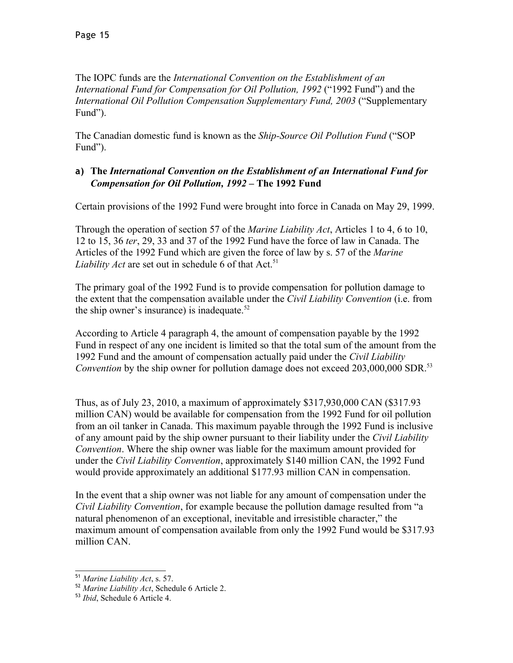The IOPC funds are the *International Convention on the Establishment of an International Fund for Compensation for Oil Pollution, 1992* ("1992 Fund") and the *International Oil Pollution Compensation Supplementary Fund, 2003* ("Supplementary Fund").

The Canadian domestic fund is known as the *Ship-Source Oil Pollution Fund* ("SOP Fund").

## **a) The** *International Convention on the Establishment of an International Fund for Compensation for Oil Pollution, 1992* **– The 1992 Fund**

Certain provisions of the 1992 Fund were brought into force in Canada on May 29, 1999.

Through the operation of section 57 of the *Marine Liability Act*, Articles 1 to 4, 6 to 10, 12 to 15, 36 *ter*, 29, 33 and 37 of the 1992 Fund have the force of law in Canada. The Articles of the 1992 Fund which are given the force of law by s. 57 of the *Marine Liability Act* are set out in schedule 6 of that Act.<sup>[51](#page-14-0)</sup>

The primary goal of the 1992 Fund is to provide compensation for pollution damage to the extent that the compensation available under the *Civil Liability Convention* (i.e. from the ship owner's insurance) is inadequate. $52$ 

According to Article 4 paragraph 4, the amount of compensation payable by the 1992 Fund in respect of any one incident is limited so that the total sum of the amount from the 1992 Fund and the amount of compensation actually paid under the *Civil Liability Convention* by the ship owner for pollution damage does not exceed 203,000,000 SDR.<sup>[53](#page-14-2)</sup>

Thus, as of July 23, 2010, a maximum of approximately \$317,930,000 CAN (\$317.93 million CAN) would be available for compensation from the 1992 Fund for oil pollution from an oil tanker in Canada. This maximum payable through the 1992 Fund is inclusive of any amount paid by the ship owner pursuant to their liability under the *Civil Liability Convention*. Where the ship owner was liable for the maximum amount provided for under the *Civil Liability Convention*, approximately \$140 million CAN, the 1992 Fund would provide approximately an additional \$177.93 million CAN in compensation.

In the event that a ship owner was not liable for any amount of compensation under the *Civil Liability Convention*, for example because the pollution damage resulted from "a natural phenomenon of an exceptional, inevitable and irresistible character," the maximum amount of compensation available from only the 1992 Fund would be \$317.93 million CAN.

<span id="page-14-0"></span><sup>51</sup> *Marine Liability Act*, s. 57.

<span id="page-14-1"></span><sup>52</sup> *Marine Liability Act*, Schedule 6 Article 2.

<span id="page-14-2"></span><sup>53</sup> *Ibid*, Schedule 6 Article 4.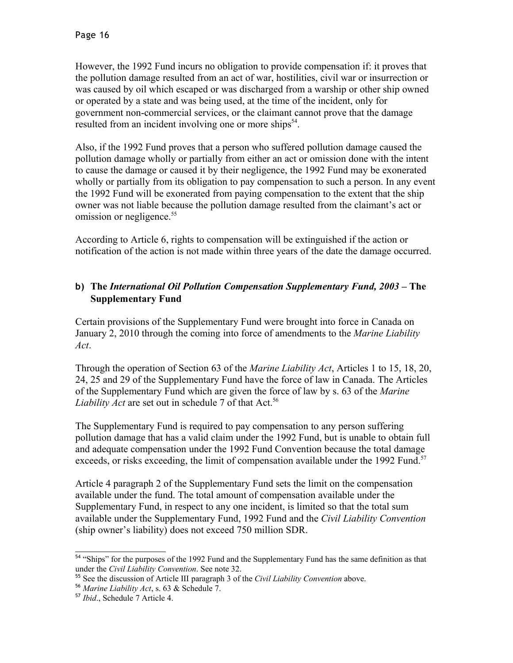However, the 1992 Fund incurs no obligation to provide compensation if: it proves that the pollution damage resulted from an act of war, hostilities, civil war or insurrection or was caused by oil which escaped or was discharged from a warship or other ship owned or operated by a state and was being used, at the time of the incident, only for government non-commercial services, or the claimant cannot prove that the damage resulted from an incident involving one or more ships<sup>[54](#page-15-0)</sup>.

Also, if the 1992 Fund proves that a person who suffered pollution damage caused the pollution damage wholly or partially from either an act or omission done with the intent to cause the damage or caused it by their negligence, the 1992 Fund may be exonerated wholly or partially from its obligation to pay compensation to such a person. In any event the 1992 Fund will be exonerated from paying compensation to the extent that the ship owner was not liable because the pollution damage resulted from the claimant's act or omission or negligence.<sup>[55](#page-15-1)</sup>

According to Article 6, rights to compensation will be extinguished if the action or notification of the action is not made within three years of the date the damage occurred.

## **b) The** *International Oil Pollution Compensation Supplementary Fund, 2003* **– The Supplementary Fund**

Certain provisions of the Supplementary Fund were brought into force in Canada on January 2, 2010 through the coming into force of amendments to the *Marine Liability Act*.

Through the operation of Section 63 of the *Marine Liability Act*, Articles 1 to 15, 18, 20, 24, 25 and 29 of the Supplementary Fund have the force of law in Canada. The Articles of the Supplementary Fund which are given the force of law by s. 63 of the *Marine* Liability Act are set out in schedule 7 of that Act.<sup>[56](#page-15-2)</sup>

The Supplementary Fund is required to pay compensation to any person suffering pollution damage that has a valid claim under the 1992 Fund, but is unable to obtain full and adequate compensation under the 1992 Fund Convention because the total damage exceeds, or risks exceeding, the limit of compensation available under the 1992 Fund.<sup>[57](#page-15-3)</sup>

Article 4 paragraph 2 of the Supplementary Fund sets the limit on the compensation available under the fund. The total amount of compensation available under the Supplementary Fund, in respect to any one incident, is limited so that the total sum available under the Supplementary Fund, 1992 Fund and the *Civil Liability Convention* (ship owner's liability) does not exceed 750 million SDR.

<span id="page-15-0"></span><sup>&</sup>lt;sup>54</sup> "Ships" for the purposes of the 1992 Fund and the Supplementary Fund has the same definition as that under the *Civil Liability Convention*. See note 32.

<span id="page-15-1"></span><sup>55</sup> See the discussion of Article III paragraph 3 of the *Civil Liability Convention* above.

<span id="page-15-2"></span><sup>56</sup> *Marine Liability Act*, s. 63 & Schedule 7.

<span id="page-15-3"></span><sup>57</sup> *Ibid*., Schedule 7 Article 4.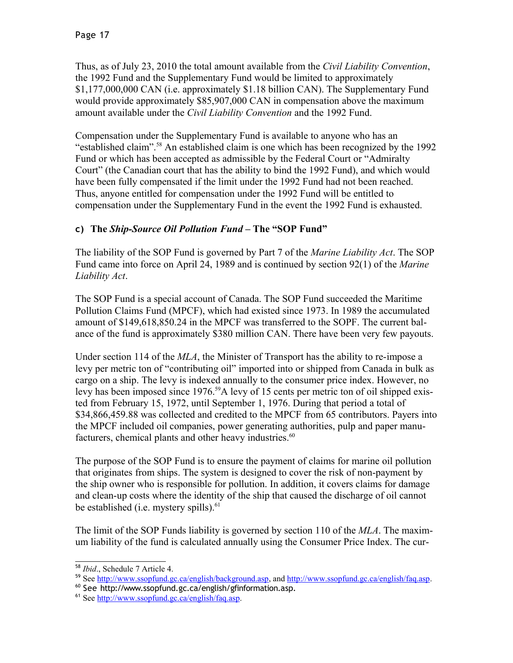Thus, as of July 23, 2010 the total amount available from the *Civil Liability Convention*, the 1992 Fund and the Supplementary Fund would be limited to approximately \$1,177,000,000 CAN (i.e. approximately \$1.18 billion CAN). The Supplementary Fund would provide approximately \$85,907,000 CAN in compensation above the maximum amount available under the *Civil Liability Convention* and the 1992 Fund.

Compensation under the Supplementary Fund is available to anyone who has an "established claim".[58](#page-16-0) An established claim is one which has been recognized by the 1992 Fund or which has been accepted as admissible by the Federal Court or "Admiralty Court" (the Canadian court that has the ability to bind the 1992 Fund), and which would have been fully compensated if the limit under the 1992 Fund had not been reached. Thus, anyone entitled for compensation under the 1992 Fund will be entitled to compensation under the Supplementary Fund in the event the 1992 Fund is exhausted.

## **c) The** *Ship-Source Oil Pollution Fund* **– The "SOP Fund"**

The liability of the SOP Fund is governed by Part 7 of the *Marine Liability Act*. The SOP Fund came into force on April 24, 1989 and is continued by section 92(1) of the *Marine Liability Act*.

The SOP Fund is a special account of Canada. The SOP Fund succeeded the Maritime Pollution Claims Fund (MPCF), which had existed since 1973. In 1989 the accumulated amount of \$149,618,850.24 in the MPCF was transferred to the SOPF. The current balance of the fund is approximately \$380 million CAN. There have been very few payouts.

Under section 114 of the *MLA*, the Minister of Transport has the ability to re-impose a levy per metric ton of "contributing oil" imported into or shipped from Canada in bulk as cargo on a ship. The levy is indexed annually to the consumer price index. However, no levy has been imposed since 1976.<sup>[59](#page-16-1)</sup>A levy of 15 cents per metric ton of oil shipped existed from February 15, 1972, until September 1, 1976. During that period a total of \$34,866,459.88 was collected and credited to the MPCF from 65 contributors. Payers into the MPCF included oil companies, power generating authorities, pulp and paper manu-facturers, chemical plants and other heavy industries.<sup>[60](#page-16-2)</sup>

The purpose of the SOP Fund is to ensure the payment of claims for marine oil pollution that originates from ships. The system is designed to cover the risk of non-payment by the ship owner who is responsible for pollution. In addition, it covers claims for damage and clean-up costs where the identity of the ship that caused the discharge of oil cannot be established (i.e. mystery spills).<sup>[61](#page-16-3)</sup>

The limit of the SOP Funds liability is governed by section 110 of the *MLA*. The maximum liability of the fund is calculated annually using the Consumer Price Index. The cur-

<span id="page-16-0"></span><sup>58</sup> *Ibid*., Schedule 7 Article 4.

<span id="page-16-1"></span><sup>&</sup>lt;sup>59</sup> See [http://www.ssopfund.gc.ca/english/background.asp,](http://www.ssopfund.gc.ca/english/background.asp) and [http://www.ssopfund.gc.ca/english/faq.asp.](http://www.ssopfund.gc.ca/english/faq.asp)

<span id="page-16-2"></span><sup>60</sup> See http://www.ssopfund.gc.ca/english/gfinformation.asp.

<span id="page-16-3"></span><sup>61</sup> See [http://www.ssopfund.gc.ca/english/faq.asp.](http://www.ssopfund.gc.ca/english/faq.asp)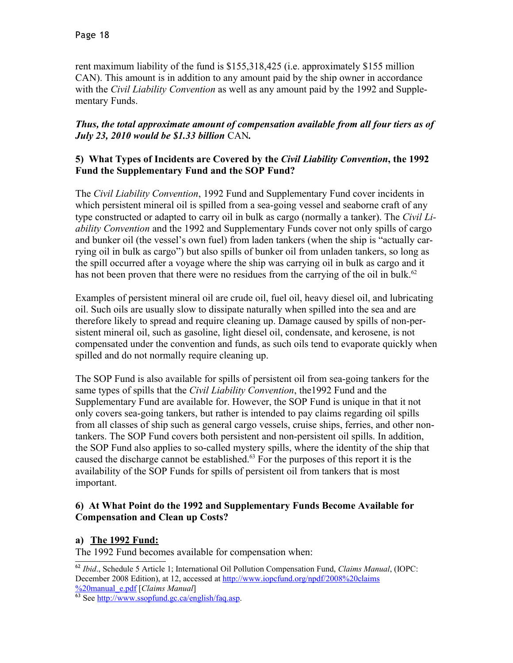rent maximum liability of the fund is \$155,318,425 (i.e. approximately \$155 million CAN). This amount is in addition to any amount paid by the ship owner in accordance with the *Civil Liability Convention* as well as any amount paid by the 1992 and Supplementary Funds.

#### *Thus, the total approximate amount of compensation available from all four tiers as of July 23, 2010 would be \$1.33 billion* CAN*.*

#### **5) What Types of Incidents are Covered by the** *Civil Liability Convention***, the 1992 Fund the Supplementary Fund and the SOP Fund?**

The *Civil Liability Convention*, 1992 Fund and Supplementary Fund cover incidents in which persistent mineral oil is spilled from a sea-going vessel and seaborne craft of any type constructed or adapted to carry oil in bulk as cargo (normally a tanker). The *Civil Liability Convention* and the 1992 and Supplementary Funds cover not only spills of cargo and bunker oil (the vessel's own fuel) from laden tankers (when the ship is "actually carrying oil in bulk as cargo") but also spills of bunker oil from unladen tankers, so long as the spill occurred after a voyage where the ship was carrying oil in bulk as cargo and it has not been proven that there were no residues from the carrying of the oil in bulk.<sup>[62](#page-17-0)</sup>

Examples of persistent mineral oil are crude oil, fuel oil, heavy diesel oil, and lubricating oil. Such oils are usually slow to dissipate naturally when spilled into the sea and are therefore likely to spread and require cleaning up. Damage caused by spills of non-persistent mineral oil, such as gasoline, light diesel oil, condensate, and kerosene, is not compensated under the convention and funds, as such oils tend to evaporate quickly when spilled and do not normally require cleaning up.

The SOP Fund is also available for spills of persistent oil from sea-going tankers for the same types of spills that the *Civil Liability Convention*, the1992 Fund and the Supplementary Fund are available for. However, the SOP Fund is unique in that it not only covers sea-going tankers, but rather is intended to pay claims regarding oil spills from all classes of ship such as general cargo vessels, cruise ships, ferries, and other nontankers. The SOP Fund covers both persistent and non-persistent oil spills. In addition, the SOP Fund also applies to so-called mystery spills, where the identity of the ship that caused the discharge cannot be established.<sup>[63](#page-17-1)</sup> For the purposes of this report it is the availability of the SOP Funds for spills of persistent oil from tankers that is most important.

#### **6) At What Point do the 1992 and Supplementary Funds Become Available for Compensation and Clean up Costs?**

#### **a) The 1992 Fund:**

The 1992 Fund becomes available for compensation when:

<span id="page-17-1"></span> $\frac{62 \text{ min.}}{63}$  See [http://www.ssopfund.gc.ca/english/faq.asp.](http://www.ssopfund.gc.ca/english/faq.asp)

<span id="page-17-0"></span><sup>62</sup> *Ibid*., Schedule 5 Article 1; International Oil Pollution Compensation Fund, *Claims Manual*, (IOPC: December 2008 Edition), at 12, accessed at [http://www.iopcfund.org/npdf/2008%20claims](http://www.iopcfund.org/npdf/2008%20claims%20manual_e.pdf) [%20manual\\_e.pdf](http://www.iopcfund.org/npdf/2008%20claims%20manual_e.pdf) [*Claims Manual*]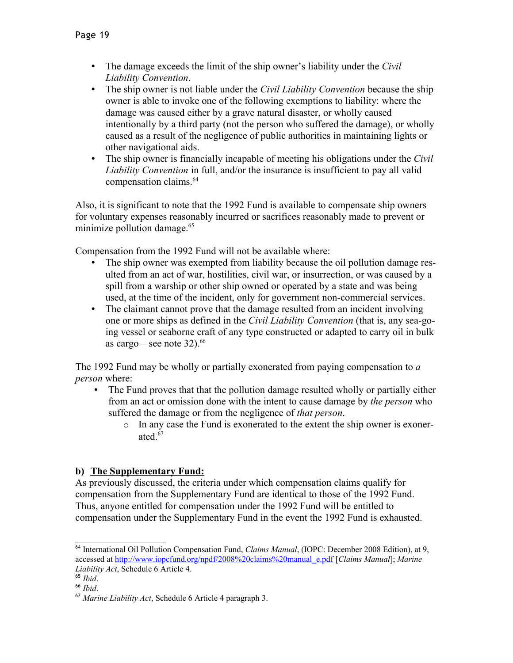- The damage exceeds the limit of the ship owner's liability under the *Civil Liability Convention*.
- The ship owner is not liable under the *Civil Liability Convention* because the ship owner is able to invoke one of the following exemptions to liability: where the damage was caused either by a grave natural disaster, or wholly caused intentionally by a third party (not the person who suffered the damage), or wholly caused as a result of the negligence of public authorities in maintaining lights or other navigational aids.
- The ship owner is financially incapable of meeting his obligations under the *Civil Liability Convention* in full, and/or the insurance is insufficient to pay all valid compensation claims.<sup>[64](#page-18-0)</sup>

Also, it is significant to note that the 1992 Fund is available to compensate ship owners for voluntary expenses reasonably incurred or sacrifices reasonably made to prevent or minimize pollution damage.<sup>[65](#page-18-1)</sup>

Compensation from the 1992 Fund will not be available where:

- The ship owner was exempted from liability because the oil pollution damage resulted from an act of war, hostilities, civil war, or insurrection, or was caused by a spill from a warship or other ship owned or operated by a state and was being used, at the time of the incident, only for government non-commercial services.
- The claimant cannot prove that the damage resulted from an incident involving one or more ships as defined in the *Civil Liability Convention* (that is, any sea-going vessel or seaborne craft of any type constructed or adapted to carry oil in bulk as cargo – see note  $32$ ).<sup>[66](#page-18-2)</sup>

The 1992 Fund may be wholly or partially exonerated from paying compensation to *a person* where:

- The Fund proves that that the pollution damage resulted wholly or partially either from an act or omission done with the intent to cause damage by *the person* who suffered the damage or from the negligence of *that person*.
	- o In any case the Fund is exonerated to the extent the ship owner is exoner-ated.<sup>[67](#page-18-3)</sup>

## **b) The Supplementary Fund:**

As previously discussed, the criteria under which compensation claims qualify for compensation from the Supplementary Fund are identical to those of the 1992 Fund. Thus, anyone entitled for compensation under the 1992 Fund will be entitled to compensation under the Supplementary Fund in the event the 1992 Fund is exhausted.

<span id="page-18-0"></span><sup>64</sup> International Oil Pollution Compensation Fund, *Claims Manual*, (IOPC: December 2008 Edition), at 9, accessed at [http://www.iopcfund.org/npdf/2008%20claims%20manual\\_e.pdf](http://www.iopcfund.org/npdf/2008%20claims%20manual_e.pdf) [*Claims Manual*]; *Marine Liability Act*, Schedule 6 Article 4.

<span id="page-18-1"></span><sup>65</sup> *Ibid*.

<span id="page-18-2"></span><sup>66</sup> *Ibid*.

<span id="page-18-3"></span><sup>67</sup> *Marine Liability Act*, Schedule 6 Article 4 paragraph 3.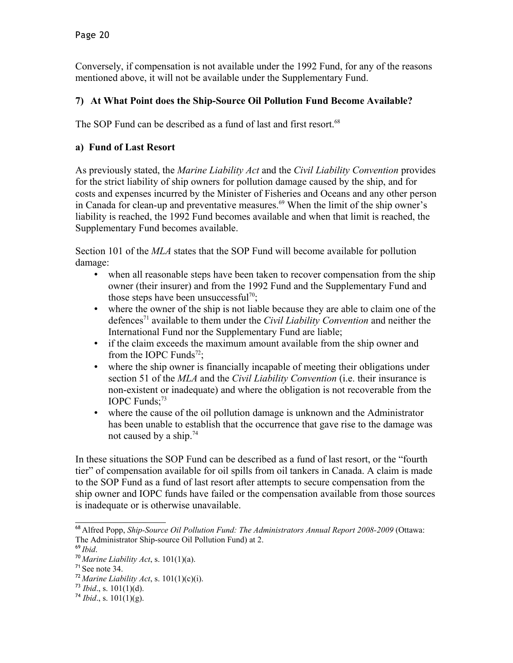Conversely, if compensation is not available under the 1992 Fund, for any of the reasons mentioned above, it will not be available under the Supplementary Fund.

## **7) At What Point does the Ship-Source Oil Pollution Fund Become Available?**

The SOP Fund can be described as a fund of last and first resort.<sup>[68](#page-19-0)</sup>

### **a) Fund of Last Resort**

As previously stated, the *Marine Liability Act* and the *Civil Liability Convention* provides for the strict liability of ship owners for pollution damage caused by the ship, and for costs and expenses incurred by the Minister of Fisheries and Oceans and any other person in Canada for clean-up and preventative measures.<sup> $69$ </sup> When the limit of the ship owner's liability is reached, the 1992 Fund becomes available and when that limit is reached, the Supplementary Fund becomes available.

Section 101 of the *MLA* states that the SOP Fund will become available for pollution damage:

- when all reasonable steps have been taken to recover compensation from the ship owner (their insurer) and from the 1992 Fund and the Supplementary Fund and those steps have been unsuccessful<sup>[70](#page-19-2)</sup>;
- where the owner of the ship is not liable because they are able to claim one of the defences[71](#page-19-3) available to them under the *Civil Liability Convention* and neither the International Fund nor the Supplementary Fund are liable;
- if the claim exceeds the maximum amount available from the ship owner and from the IOPC Funds<sup>[72](#page-19-4)</sup>;
- where the ship owner is financially incapable of meeting their obligations under section 51 of the *MLA* and the *Civil Liability Convention* (i.e. their insurance is non-existent or inadequate) and where the obligation is not recoverable from the IOPC Funds: $73$
- where the cause of the oil pollution damage is unknown and the Administrator has been unable to establish that the occurrence that gave rise to the damage was not caused by a ship.<sup>[74](#page-19-6)</sup>

In these situations the SOP Fund can be described as a fund of last resort, or the "fourth tier" of compensation available for oil spills from oil tankers in Canada. A claim is made to the SOP Fund as a fund of last resort after attempts to secure compensation from the ship owner and IOPC funds have failed or the compensation available from those sources is inadequate or is otherwise unavailable.

<span id="page-19-0"></span><sup>68</sup> Alfred Popp, *Ship-Source Oil Pollution Fund: The Administrators Annual Report 2008-2009* (Ottawa: The Administrator Ship-source Oil Pollution Fund) at 2.

<span id="page-19-1"></span><sup>69</sup> *Ibid*.

<span id="page-19-2"></span><sup>70</sup> *Marine Liability Act*, s. 101(1)(a).

<span id="page-19-3"></span> $71$  See note 34.

<span id="page-19-4"></span><sup>&</sup>lt;sup>72</sup> Marine Liability Act, s.  $101(1)(c)(i)$ .

<span id="page-19-5"></span> $^{73}$  *Ibid.*, s. 101(1)(d).

<span id="page-19-6"></span> $^{74}$  *Ibid.*, s. 101(1)(g).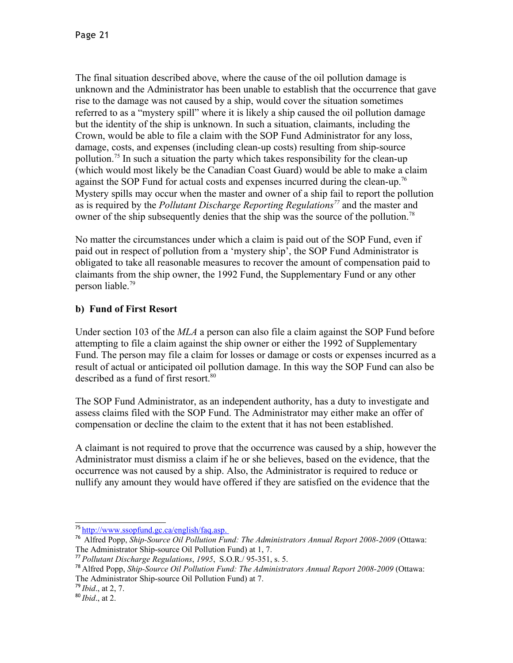The final situation described above, where the cause of the oil pollution damage is unknown and the Administrator has been unable to establish that the occurrence that gave rise to the damage was not caused by a ship, would cover the situation sometimes referred to as a "mystery spill" where it is likely a ship caused the oil pollution damage but the identity of the ship is unknown. In such a situation, claimants, including the Crown, would be able to file a claim with the SOP Fund Administrator for any loss, damage, costs, and expenses (including clean-up costs) resulting from ship-source pollution.[75](#page-20-0) In such a situation the party which takes responsibility for the clean-up (which would most likely be the Canadian Coast Guard) would be able to make a claim against the SOP Fund for actual costs and expenses incurred during the clean-up.<sup>[76](#page-20-1)</sup> Mystery spills may occur when the master and owner of a ship fail to report the pollution as is required by the *Pollutant Discharge Reporting Regulations[77](#page-20-2)* and the master and owner of the ship subsequently denies that the ship was the source of the pollution.<sup>[78](#page-20-3)</sup>

No matter the circumstances under which a claim is paid out of the SOP Fund, even if paid out in respect of pollution from a 'mystery ship', the SOP Fund Administrator is obligated to take all reasonable measures to recover the amount of compensation paid to claimants from the ship owner, the 1992 Fund, the Supplementary Fund or any other person liable.[79](#page-20-4)

## **b) Fund of First Resort**

Under section 103 of the *MLA* a person can also file a claim against the SOP Fund before attempting to file a claim against the ship owner or either the 1992 of Supplementary Fund. The person may file a claim for losses or damage or costs or expenses incurred as a result of actual or anticipated oil pollution damage. In this way the SOP Fund can also be described as a fund of first resort.<sup>[80](#page-20-5)</sup>

The SOP Fund Administrator, as an independent authority, has a duty to investigate and assess claims filed with the SOP Fund. The Administrator may either make an offer of compensation or decline the claim to the extent that it has not been established.

A claimant is not required to prove that the occurrence was caused by a ship, however the Administrator must dismiss a claim if he or she believes, based on the evidence, that the occurrence was not caused by a ship. Also, the Administrator is required to reduce or nullify any amount they would have offered if they are satisfied on the evidence that the

<span id="page-20-0"></span><sup>&</sup>lt;sup>75</sup> http://www.ssopfund.gc.ca/english/faq.asp.

<span id="page-20-1"></span><sup>76</sup> Alfred Popp, *Ship-Source Oil Pollution Fund: The Administrators Annual Report 2008-2009* (Ottawa: The Administrator Ship-source Oil Pollution Fund) at 1, 7.

<span id="page-20-2"></span><sup>77</sup> *Pollutant Discharge Regulations*, *1995*, S.O.R./ 95-351, s. 5.

<span id="page-20-3"></span><sup>78</sup> Alfred Popp, *Ship-Source Oil Pollution Fund: The Administrators Annual Report 2008-2009* (Ottawa: The Administrator Ship-source Oil Pollution Fund) at 7.

<span id="page-20-4"></span><sup>79</sup> *Ibid*., at 2, 7.

<span id="page-20-5"></span><sup>80</sup> *Ibid*., at 2.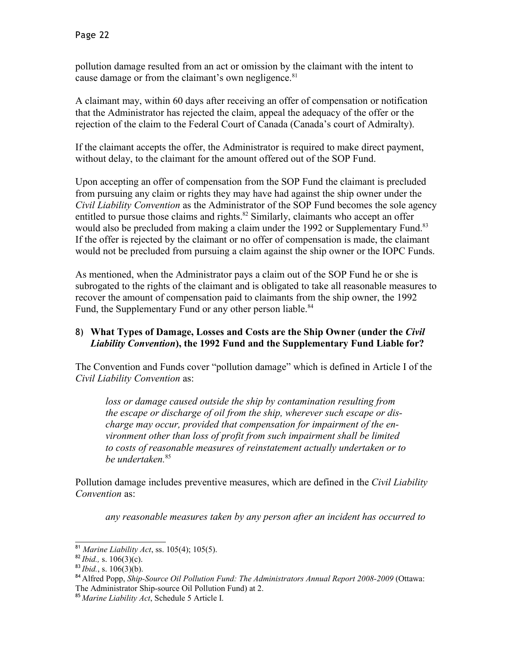pollution damage resulted from an act or omission by the claimant with the intent to cause damage or from the claimant's own negligence.<sup>[81](#page-21-0)</sup>

A claimant may, within 60 days after receiving an offer of compensation or notification that the Administrator has rejected the claim, appeal the adequacy of the offer or the rejection of the claim to the Federal Court of Canada (Canada's court of Admiralty).

If the claimant accepts the offer, the Administrator is required to make direct payment, without delay, to the claimant for the amount offered out of the SOP Fund.

Upon accepting an offer of compensation from the SOP Fund the claimant is precluded from pursuing any claim or rights they may have had against the ship owner under the *Civil Liability Convention* as the Administrator of the SOP Fund becomes the sole agency entitled to pursue those claims and rights. $82$  Similarly, claimants who accept an offer would also be precluded from making a claim under the 1992 or Supplementary Fund.<sup>[83](#page-21-2)</sup> If the offer is rejected by the claimant or no offer of compensation is made, the claimant would not be precluded from pursuing a claim against the ship owner or the IOPC Funds.

As mentioned, when the Administrator pays a claim out of the SOP Fund he or she is subrogated to the rights of the claimant and is obligated to take all reasonable measures to recover the amount of compensation paid to claimants from the ship owner, the 1992 Fund, the Supplementary Fund or any other person liable.<sup>[84](#page-21-3)</sup>

### 8) **What Types of Damage, Losses and Costs are the Ship Owner (under the** *Civil Liability Convention***), the 1992 Fund and the Supplementary Fund Liable for?**

The Convention and Funds cover "pollution damage" which is defined in Article I of the *Civil Liability Convention* as:

*loss or damage caused outside the ship by contamination resulting from the escape or discharge of oil from the ship, wherever such escape or discharge may occur, provided that compensation for impairment of the environment other than loss of profit from such impairment shall be limited to costs of reasonable measures of reinstatement actually undertaken or to be undertaken.*[85](#page-21-4)

Pollution damage includes preventive measures, which are defined in the *Civil Liability Convention* as:

*any reasonable measures taken by any person after an incident has occurred to*

<span id="page-21-0"></span><sup>81</sup> *Marine Liability Act*, ss. 105(4); 105(5).

<span id="page-21-1"></span><sup>82</sup> *Ibid.,* s. 106(3)(c).

<span id="page-21-2"></span><sup>83</sup> *Ibid.*, s. 106(3)(b).

<span id="page-21-3"></span><sup>84</sup> Alfred Popp, *Ship-Source Oil Pollution Fund: The Administrators Annual Report 2008-2009* (Ottawa: The Administrator Ship-source Oil Pollution Fund) at 2.

<span id="page-21-4"></span><sup>85</sup> *Marine Liability Act*, Schedule 5 Article I.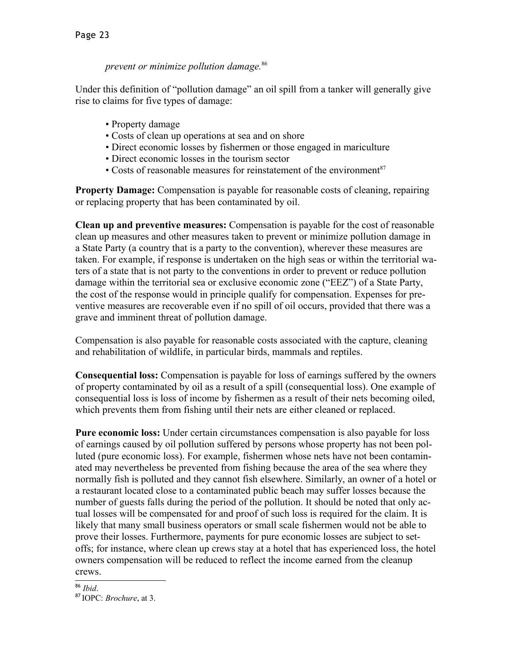### *prevent or minimize pollution damage.*[86](#page-22-0)

Under this definition of "pollution damage" an oil spill from a tanker will generally give rise to claims for five types of damage:

- Property damage
- Costs of clean up operations at sea and on shore
- Direct economic losses by fishermen or those engaged in mariculture
- Direct economic losses in the tourism sector
- Costs of reasonable measures for reinstatement of the environment $87$

**Property Damage:** Compensation is payable for reasonable costs of cleaning, repairing or replacing property that has been contaminated by oil.

**Clean up and preventive measures:** Compensation is payable for the cost of reasonable clean up measures and other measures taken to prevent or minimize pollution damage in a State Party (a country that is a party to the convention), wherever these measures are taken. For example, if response is undertaken on the high seas or within the territorial waters of a state that is not party to the conventions in order to prevent or reduce pollution damage within the territorial sea or exclusive economic zone ("EEZ") of a State Party, the cost of the response would in principle qualify for compensation. Expenses for preventive measures are recoverable even if no spill of oil occurs, provided that there was a grave and imminent threat of pollution damage.

Compensation is also payable for reasonable costs associated with the capture, cleaning and rehabilitation of wildlife, in particular birds, mammals and reptiles.

**Consequential loss:** Compensation is payable for loss of earnings suffered by the owners of property contaminated by oil as a result of a spill (consequential loss). One example of consequential loss is loss of income by fishermen as a result of their nets becoming oiled, which prevents them from fishing until their nets are either cleaned or replaced.

**Pure economic loss:** Under certain circumstances compensation is also payable for loss of earnings caused by oil pollution suffered by persons whose property has not been polluted (pure economic loss). For example, fishermen whose nets have not been contaminated may nevertheless be prevented from fishing because the area of the sea where they normally fish is polluted and they cannot fish elsewhere. Similarly, an owner of a hotel or a restaurant located close to a contaminated public beach may suffer losses because the number of guests falls during the period of the pollution. It should be noted that only actual losses will be compensated for and proof of such loss is required for the claim. It is likely that many small business operators or small scale fishermen would not be able to prove their losses. Furthermore, payments for pure economic losses are subject to setoffs; for instance, where clean up crews stay at a hotel that has experienced loss, the hotel owners compensation will be reduced to reflect the income earned from the cleanup crews.

#### <span id="page-22-0"></span><sup>86</sup> *Ibid*.

<span id="page-22-1"></span><sup>87</sup> IOPC: *Brochure*, at 3.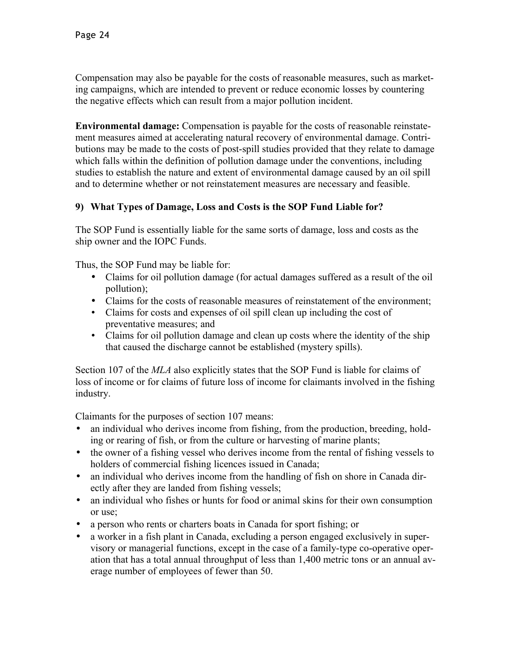Compensation may also be payable for the costs of reasonable measures, such as marketing campaigns, which are intended to prevent or reduce economic losses by countering the negative effects which can result from a major pollution incident.

**Environmental damage:** Compensation is payable for the costs of reasonable reinstatement measures aimed at accelerating natural recovery of environmental damage. Contributions may be made to the costs of post-spill studies provided that they relate to damage which falls within the definition of pollution damage under the conventions, including studies to establish the nature and extent of environmental damage caused by an oil spill and to determine whether or not reinstatement measures are necessary and feasible.

## **9) What Types of Damage, Loss and Costs is the SOP Fund Liable for?**

The SOP Fund is essentially liable for the same sorts of damage, loss and costs as the ship owner and the IOPC Funds.

Thus, the SOP Fund may be liable for:

- Claims for oil pollution damage (for actual damages suffered as a result of the oil pollution);
- Claims for the costs of reasonable measures of reinstatement of the environment;
- Claims for costs and expenses of oil spill clean up including the cost of preventative measures; and
- Claims for oil pollution damage and clean up costs where the identity of the ship that caused the discharge cannot be established (mystery spills).

Section 107 of the *MLA* also explicitly states that the SOP Fund is liable for claims of loss of income or for claims of future loss of income for claimants involved in the fishing industry.

Claimants for the purposes of section 107 means:

- an individual who derives income from fishing, from the production, breeding, holding or rearing of fish, or from the culture or harvesting of marine plants;
- the owner of a fishing vessel who derives income from the rental of fishing vessels to holders of commercial fishing licences issued in Canada;
- an individual who derives income from the handling of fish on shore in Canada directly after they are landed from fishing vessels;
- an individual who fishes or hunts for food or animal skins for their own consumption or use;
- a person who rents or charters boats in Canada for sport fishing; or
- a worker in a fish plant in Canada, excluding a person engaged exclusively in supervisory or managerial functions, except in the case of a family-type co-operative operation that has a total annual throughput of less than 1,400 metric tons or an annual average number of employees of fewer than 50.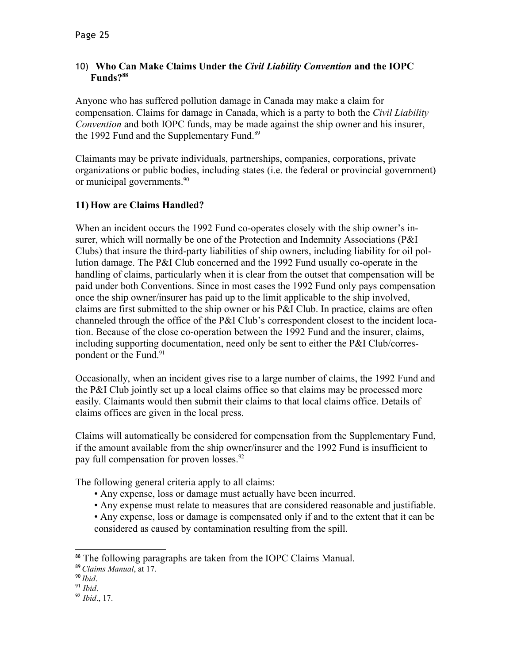#### 10) **Who Can Make Claims Under the** *Civil Liability Convention* **and the IOPC Funds?[88](#page-24-0)**

Anyone who has suffered pollution damage in Canada may make a claim for compensation. Claims for damage in Canada, which is a party to both the *Civil Liability Convention* and both IOPC funds, may be made against the ship owner and his insurer, the 1992 Fund and the Supplementary Fund.<sup>[89](#page-24-1)</sup>

Claimants may be private individuals, partnerships, companies, corporations, private organizations or public bodies, including states (i.e. the federal or provincial government) or municipal governments.<sup>[90](#page-24-2)</sup>

## **11) How are Claims Handled?**

When an incident occurs the 1992 Fund co-operates closely with the ship owner's insurer, which will normally be one of the Protection and Indemnity Associations (P&I Clubs) that insure the third-party liabilities of ship owners, including liability for oil pollution damage. The P&I Club concerned and the 1992 Fund usually co-operate in the handling of claims, particularly when it is clear from the outset that compensation will be paid under both Conventions. Since in most cases the 1992 Fund only pays compensation once the ship owner/insurer has paid up to the limit applicable to the ship involved, claims are first submitted to the ship owner or his P&I Club. In practice, claims are often channeled through the office of the P&I Club's correspondent closest to the incident location. Because of the close co-operation between the 1992 Fund and the insurer, claims, including supporting documentation, need only be sent to either the P&I Club/corres-pondent or the Fund.<sup>[91](#page-24-3)</sup>

Occasionally, when an incident gives rise to a large number of claims, the 1992 Fund and the P&I Club jointly set up a local claims office so that claims may be processed more easily. Claimants would then submit their claims to that local claims office. Details of claims offices are given in the local press.

Claims will automatically be considered for compensation from the Supplementary Fund, if the amount available from the ship owner/insurer and the 1992 Fund is insufficient to pay full compensation for proven losses.<sup>[92](#page-24-4)</sup>

The following general criteria apply to all claims:

- Any expense, loss or damage must actually have been incurred.
- Any expense must relate to measures that are considered reasonable and justifiable.
- Any expense, loss or damage is compensated only if and to the extent that it can be considered as caused by contamination resulting from the spill.

<span id="page-24-0"></span><sup>88</sup> The following paragraphs are taken from the IOPC Claims Manual.

<span id="page-24-1"></span><sup>89</sup> *Claims Manual*, at 17.

<span id="page-24-2"></span><sup>90</sup> *Ibid*.

<span id="page-24-3"></span><sup>91</sup> *Ibid*.

<span id="page-24-4"></span><sup>92</sup> *Ibid*., 17.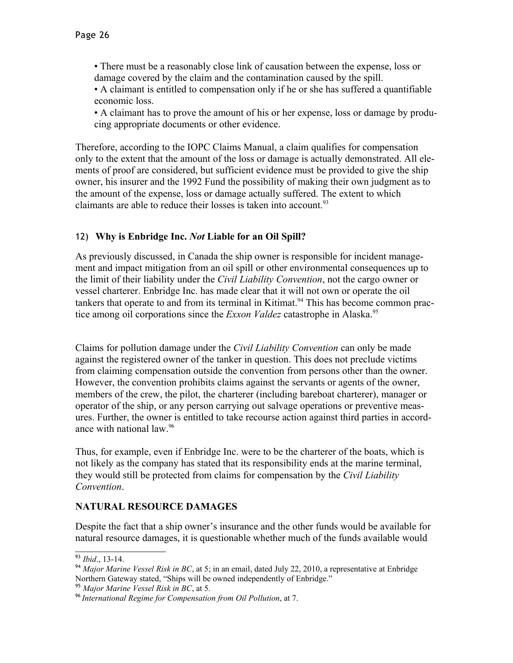• There must be a reasonably close link of causation between the expense, loss or damage covered by the claim and the contamination caused by the spill.

• A claimant is entitled to compensation only if he or she has suffered a quantifiable economic loss.

• A claimant has to prove the amount of his or her expense, loss or damage by producing appropriate documents or other evidence.

Therefore, according to the IOPC Claims Manual, a claim qualifies for compensation only to the extent that the amount of the loss or damage is actually demonstrated. All elements of proof are considered, but sufficient evidence must be provided to give the ship owner, his insurer and the 1992 Fund the possibility of making their own judgment as to the amount of the expense, loss or damage actually suffered. The extent to which claimants are able to reduce their losses is taken into account.  $93$ 

## 12) **Why is Enbridge Inc.** *Not* **Liable for an Oil Spill?**

As previously discussed, in Canada the ship owner is responsible for incident management and impact mitigation from an oil spill or other environmental consequences up to the limit of their liability under the *Civil Liability Convention*, not the cargo owner or vessel charterer. Enbridge Inc. has made clear that it will not own or operate the oil tankers that operate to and from its terminal in Kitimat.<sup>[94](#page-25-1)</sup> This has become common practice among oil corporations since the *Exxon Valdez* catastrophe in Alaska.<sup>[95](#page-25-2)</sup>

Claims for pollution damage under the *Civil Liability Convention* can only be made against the registered owner of the tanker in question. This does not preclude victims from claiming compensation outside the convention from persons other than the owner. However, the convention prohibits claims against the servants or agents of the owner, members of the crew, the pilot, the charterer (including bareboat charterer), manager or operator of the ship, or any person carrying out salvage operations or preventive measures. Further, the owner is entitled to take recourse action against third parties in accordance with national law.[96](#page-25-3)

Thus, for example, even if Enbridge Inc. were to be the charterer of the boats, which is not likely as the company has stated that its responsibility ends at the marine terminal, they would still be protected from claims for compensation by the *Civil Liability Convention*.

# **NATURAL RESOURCE DAMAGES**

Despite the fact that a ship owner's insurance and the other funds would be available for natural resource damages, it is questionable whether much of the funds available would

<span id="page-25-0"></span><sup>93</sup> *Ibid*., 13-14.

<span id="page-25-1"></span><sup>94</sup> *Major Marine Vessel Risk in BC*, at 5; in an email, dated July 22, 2010, a representative at Enbridge Northern Gateway stated, "Ships will be owned independently of Enbridge."

<span id="page-25-2"></span><sup>95</sup> *Major Marine Vessel Risk in BC*, at 5.

<span id="page-25-3"></span><sup>96</sup> *International Regime for Compensation from Oil Pollution*, at 7.